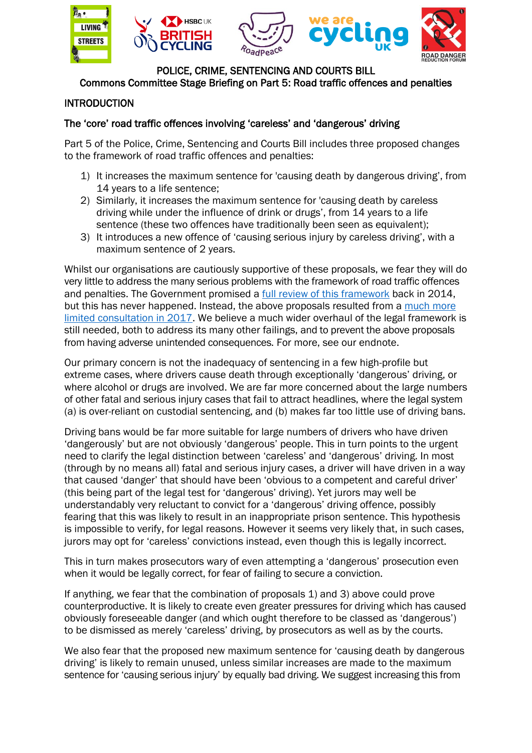

#### POLICE, CRIME, SENTENCING AND COURTS BILL Commons Committee Stage Briefing on Part 5: Road traffic offences and penalties

# INTRODUCTION

## The 'core' road traffic offences involving 'careless' and 'dangerous' driving

Part 5 of the Police, Crime, Sentencing and Courts Bill includes three proposed changes to the framework of road traffic offences and penalties:

- 1) It increases the maximum sentence for 'causing death by dangerous driving', from 14 years to a life sentence;
- 2) Similarly, it increases the maximum sentence for 'causing death by careless driving while under the influence of drink or drugs', from 14 years to a life sentence (these two offences have traditionally been seen as equivalent);
- 3) It introduces a new offence of 'causing serious injury by careless driving', with a maximum sentence of 2 years.

Whilst our organisations are cautiously supportive of these proposals, we fear they will do very little to address the many serious problems with the framework of road traffic offences and penalties. The Government promised a [full review of this framework](https://www.gov.uk/government/news/justice-for-victims-of-banned-drivers) back in 2014, but this has never happened. Instead, the above proposals resulted from a much more [limited consultation in 2017.](https://consult.justice.gov.uk/digital-communications/driving-offences-causing-death-or-serious-injury/) We believe a much wider overhaul of the legal framework is still needed, both to address its many other failings, and to prevent the above proposals from having adverse unintended consequences. For more, see our endnote.

Our primary concern is not the inadequacy of sentencing in a few high-profile but extreme cases, where drivers cause death through exceptionally 'dangerous' driving, or where alcohol or drugs are involved. We are far more concerned about the large numbers of other fatal and serious injury cases that fail to attract headlines, where the legal system (a) is over-reliant on custodial sentencing, and (b) makes far too little use of driving bans.

Driving bans would be far more suitable for large numbers of drivers who have driven 'dangerously' but are not obviously 'dangerous' people. This in turn points to the urgent need to clarify the legal distinction between 'careless' and 'dangerous' driving. In most (through by no means all) fatal and serious injury cases, a driver will have driven in a way that caused 'danger' that should have been 'obvious to a competent and careful driver' (this being part of the legal test for 'dangerous' driving). Yet jurors may well be understandably very reluctant to convict for a 'dangerous' driving offence, possibly fearing that this was likely to result in an inappropriate prison sentence. This hypothesis is impossible to verify, for legal reasons. However it seems very likely that, in such cases, jurors may opt for 'careless' convictions instead, even though this is legally incorrect.

This in turn makes prosecutors wary of even attempting a 'dangerous' prosecution even when it would be legally correct, for fear of failing to secure a conviction.

If anything, we fear that the combination of proposals 1) and 3) above could prove counterproductive. It is likely to create even greater pressures for driving which has caused obviously foreseeable danger (and which ought therefore to be classed as 'dangerous') to be dismissed as merely 'careless' driving, by prosecutors as well as by the courts.

We also fear that the proposed new maximum sentence for 'causing death by dangerous driving' is likely to remain unused, unless similar increases are made to the maximum sentence for 'causing serious injury' by equally bad driving. We suggest increasing this from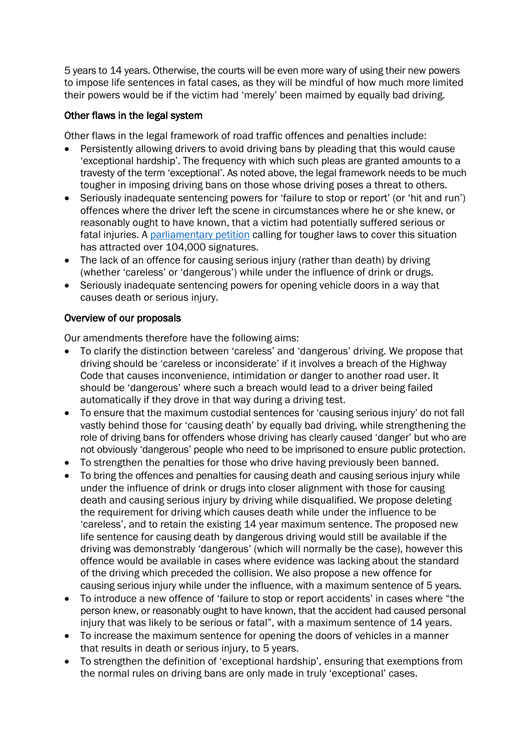5 years to 14 years. Otherwise, the courts will be even more wary of using their new powers to impose life sentences in fatal cases, as they will be mindful of how much more limited their powers would be if the victim had 'merely' been maimed by equally bad driving.

## Other flaws in the legal system

Other flaws in the legal framework of road traffic offences and penalties include:

- Persistently allowing drivers to avoid driving bans by pleading that this would cause 'exceptional hardship'. The frequency with which such pleas are granted amounts to a travesty of the term 'exceptional'. As noted above, the legal framework needs to be much tougher in imposing driving bans on those whose driving poses a threat to others.
- Seriously inadequate sentencing powers for 'failure to stop or report' (or 'hit and run') offences where the driver left the scene in circumstances where he or she knew, or reasonably ought to have known, that a victim had potentially suffered serious or fatal injuries. A [parliamentary petition](https://petition.parliament.uk/petitions/323926) calling for tougher laws to cover this situation has attracted over 104,000 signatures.
- The lack of an offence for causing serious injury (rather than death) by driving (whether 'careless' or 'dangerous') while under the influence of drink or drugs.
- Seriously inadequate sentencing powers for opening vehicle doors in a way that causes death or serious injury.

## Overview of our proposals

Our amendments therefore have the following aims:

- To clarify the distinction between 'careless' and 'dangerous' driving. We propose that driving should be 'careless or inconsiderate' if it involves a breach of the Highway Code that causes inconvenience, intimidation or danger to another road user. It should be 'dangerous' where such a breach would lead to a driver being failed automatically if they drove in that way during a driving test.
- To ensure that the maximum custodial sentences for 'causing serious injury' do not fall vastly behind those for 'causing death' by equally bad driving, while strengthening the role of driving bans for offenders whose driving has clearly caused 'danger' but who are not obviously 'dangerous' people who need to be imprisoned to ensure public protection.
- To strengthen the penalties for those who drive having previously been banned.
- To bring the offences and penalties for causing death and causing serious injury while under the influence of drink or drugs into closer alignment with those for causing death and causing serious injury by driving while disqualified. We propose deleting the requirement for driving which causes death while under the influence to be 'careless', and to retain the existing 14 year maximum sentence. The proposed new life sentence for causing death by dangerous driving would still be available if the driving was demonstrably 'dangerous' (which will normally be the case), however this offence would be available in cases where evidence was lacking about the standard of the driving which preceded the collision. We also propose a new offence for causing serious injury while under the influence, with a maximum sentence of 5 years.
- To introduce a new offence of 'failure to stop or report accidents' in cases where "the person knew, or reasonably ought to have known, that the accident had caused personal injury that was likely to be serious or fatal", with a maximum sentence of 14 years.
- To increase the maximum sentence for opening the doors of vehicles in a manner that results in death or serious injury, to 5 years.
- To strengthen the definition of 'exceptional hardship', ensuring that exemptions from the normal rules on driving bans are only made in truly 'exceptional' cases.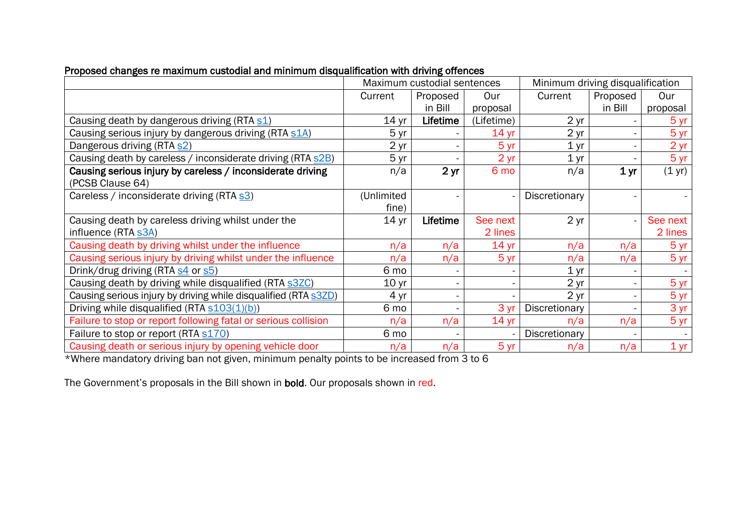|                                                                                | Maximum custodial sentences |                          |                  | Minimum driving disqualification |                 |                  |
|--------------------------------------------------------------------------------|-----------------------------|--------------------------|------------------|----------------------------------|-----------------|------------------|
|                                                                                | Current<br>Proposed         |                          | Our              | Current                          | Proposed        | Our              |
|                                                                                |                             | in Bill                  | proposal         |                                  | in Bill         | proposal         |
| Causing death by dangerous driving (RTA s1)                                    | 14 <sub>yr</sub>            | Lifetime                 | (Lifetime)       | 2 <sub>yr</sub>                  |                 | 5 yr             |
| Causing serious injury by dangerous driving (RTA s1A)                          | 5 yr                        |                          | 14 <sub>yr</sub> | 2 <sub>yr</sub>                  |                 | 5 yr             |
| Dangerous driving (RTA s2)                                                     | 2 <sub>yr</sub>             |                          | 5 <sub>yr</sub>  | 1 <sub>yr</sub>                  |                 | 2 yr             |
| Causing death by careless / inconsiderate driving (RTA s2B)                    | 5 yr                        |                          | 2 <sub>yr</sub>  | 1 <sub>yr</sub>                  |                 | 5 yr             |
| Causing serious injury by careless / inconsiderate driving<br>(PCSB Clause 64) | n/a                         | 2 <sub>yr</sub>          | 6 mo             | n/a                              | 1 <sub>yr</sub> | $(1 \text{ yr})$ |
| Careless / inconsiderate driving (RTA s3)                                      | (Unlimited<br>fine)         |                          |                  | Discretionary                    |                 |                  |
| Causing death by careless driving whilst under the                             | 14 <sub>yr</sub>            | Lifetime                 | See next         | 2 <sub>yr</sub>                  |                 | See next         |
| influence (RTA s3A)                                                            |                             |                          | 2 lines          |                                  |                 | 2 lines          |
| Causing death by driving whilst under the influence                            | n/a                         | n/a                      | 14 <sub>yr</sub> | n/a                              | n/a             | 5 yr             |
| Causing serious injury by driving whilst under the influence                   | n/a                         | n/a                      | 5 <sub>yr</sub>  | n/a                              | n/a             | 5 yr             |
| Drink/drug driving (RTA s4 or s5)                                              | 6 mo                        |                          |                  | 1 <sub>yr</sub>                  |                 |                  |
| Causing death by driving while disqualified (RTA s3ZC)                         | 10 <sub>yr</sub>            | $\overline{\phantom{a}}$ | $\sim$           | 2 <sub>yr</sub>                  |                 | 5 yr             |
| Causing serious injury by driving while disqualified (RTA s3ZD)                | 4 yr                        |                          |                  | 2 <sub>yr</sub>                  |                 | 5 yr             |
| Driving while disqualified (RTA s103(1)(b))                                    | 6 mo                        |                          | 3 yr             | Discretionary                    |                 | 3 yr             |
| Failure to stop or report following fatal or serious collision                 | n/a                         | n/a                      | 14 <sub>yr</sub> | n/a                              | n/a             | 5 yr             |
| Failure to stop or report (RTA s170)                                           | 6 mo                        |                          |                  | Discretionary                    |                 |                  |
|                                                                                |                             |                          |                  |                                  |                 |                  |

# Proposed changes re maximum custodial and minimum disqualification with driving offences

\*Where mandatory driving ban not given, minimum penalty points to be increased from 3 to 6

The Government's proposals in the Bill shown in bold. Our proposals shown in red.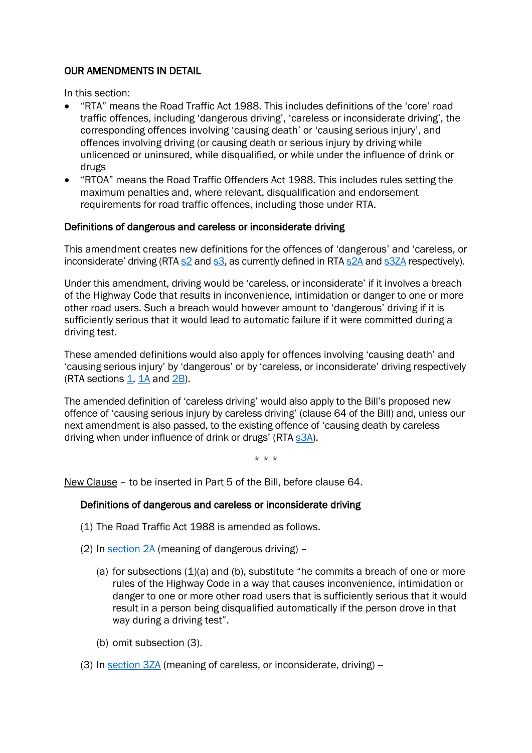## OUR AMENDMENTS IN DETAIL

In this section:

- "RTA" means the Road Traffic Act 1988. This includes definitions of the 'core' road traffic offences, including 'dangerous driving', 'careless or inconsiderate driving', the corresponding offences involving 'causing death' or 'causing serious injury', and offences involving driving (or causing death or serious injury by driving while unlicenced or uninsured, while disqualified, or while under the influence of drink or drugs
- "RTOA" means the Road Traffic Offenders Act 1988. This includes rules setting the maximum penalties and, where relevant, disqualification and endorsement requirements for road traffic offences, including those under RTA.

### Definitions of dangerous and careless or inconsiderate driving

This amendment creates new definitions for the offences of 'dangerous' and 'careless, or inconsiderate' driving (RT[A s2](https://www.legislation.gov.uk/ukpga/1988/52/section/2) and [s3,](https://www.legislation.gov.uk/ukpga/1988/52/section/3) as currently defined in RT[A s2A](https://www.legislation.gov.uk/ukpga/1988/52/section/2A) and [s3ZA](https://www.legislation.gov.uk/ukpga/1988/52/section/3ZA) respectively).

Under this amendment, driving would be 'careless, or inconsiderate' if it involves a breach of the Highway Code that results in inconvenience, intimidation or danger to one or more other road users. Such a breach would however amount to 'dangerous' driving if it is sufficiently serious that it would lead to automatic failure if it were committed during a driving test.

These amended definitions would also apply for offences involving 'causing death' and 'causing serious injury' by 'dangerous' or by 'careless, or inconsiderate' driving respectively (RTA sections [1,](https://www.legislation.gov.uk/ukpga/1988/52/section/1) [1A](https://www.legislation.gov.uk/ukpga/1988/52/section/1A) and [2B\)](https://www.legislation.gov.uk/ukpga/1988/52/section/2B).

The amended definition of 'careless driving' would also apply to the Bill's proposed new offence of 'causing serious injury by careless driving' (clause 64 of the Bill) and, unless our next amendment is also passed, to the existing offence of 'causing death by careless driving when under influence of drink or drugs' (RTA [s3A\)](https://www.legislation.gov.uk/ukpga/1988/52/section/3A).

\* \* \*

New Clause – to be inserted in Part 5 of the Bill, before clause 64.

## Definitions of dangerous and careless or inconsiderate driving

- (1) The Road Traffic Act 1988 is amended as follows.
- (2) In [section 2A](https://www.legislation.gov.uk/ukpga/1988/52/section/2A) (meaning of dangerous driving)
	- (a) for subsections (1)(a) and (b), substitute "he commits a breach of one or more rules of the Highway Code in a way that causes inconvenience, intimidation or danger to one or more other road users that is sufficiently serious that it would result in a person being disqualified automatically if the person drove in that way during a driving test".
	- (b) omit subsection (3).
- (3) In [section 3ZA](https://www.legislation.gov.uk/ukpga/1988/52/section/3ZA) (meaning of careless, or inconsiderate, driving) -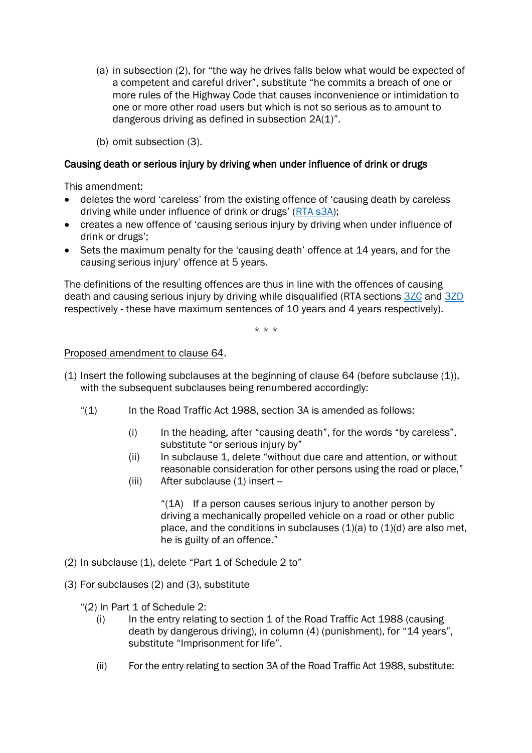- (a) in subsection (2), for "the way he drives falls below what would be expected of a competent and careful driver", substitute "he commits a breach of one or more rules of the Highway Code that causes inconvenience or intimidation to one or more other road users but which is not so serious as to amount to dangerous driving as defined in subsection 2A(1)".
- (b) omit subsection (3).

### Causing death or serious injury by driving when under influence of drink or drugs

This amendment:

- deletes the word 'careless' from the existing offence of 'causing death by careless driving while under influence of drink or drugs' ([RTA s3A\)](https://www.legislation.gov.uk/ukpga/1988/52/section/3A);
- creates a new offence of 'causing serious injury by driving when under influence of drink or drugs';
- Sets the maximum penalty for the 'causing death' offence at 14 years, and for the causing serious injury' offence at 5 years.

The definitions of the resulting offences are thus in line with the offences of causing death and causing serious injury by driving while disqualified (RTA sections [3ZC](https://www.legislation.gov.uk/ukpga/1988/52/section/3ZC) and [3ZD](https://www.legislation.gov.uk/ukpga/1988/52/section/3ZD) respectively - these have maximum sentences of 10 years and 4 years respectively).

\* \* \*

### Proposed amendment to clause 64.

- (1) Insert the following subclauses at the beginning of clause 64 (before subclause (1)), with the subsequent subclauses being renumbered accordingly:
	- "(1) In the Road Traffic Act 1988, section 3A is amended as follows:
		- (i) In the heading, after "causing death", for the words "by careless", substitute "or serious injury by"
		- (ii) In subclause 1, delete "without due care and attention, or without reasonable consideration for other persons using the road or place,"
		- $(iii)$  After subclause  $(1)$  insert --

"(1A) If a person causes serious injury to another person by driving a mechanically propelled vehicle on a road or other public place, and the conditions in subclauses  $(1)(a)$  to  $(1)(d)$  are also met, he is guilty of an offence."

- (2) In subclause (1), delete "Part 1 of Schedule 2 to"
- (3) For subclauses (2) and (3), substitute
	- "(2) In Part 1 of Schedule 2:
		- $(i)$  In the entry relating to section 1 of the Road Traffic Act 1988 (causing death by dangerous driving), in column (4) (punishment), for "14 years", substitute "Imprisonment for life".
		- (ii) For the entry relating to section 3A of the Road Traffic Act 1988, substitute: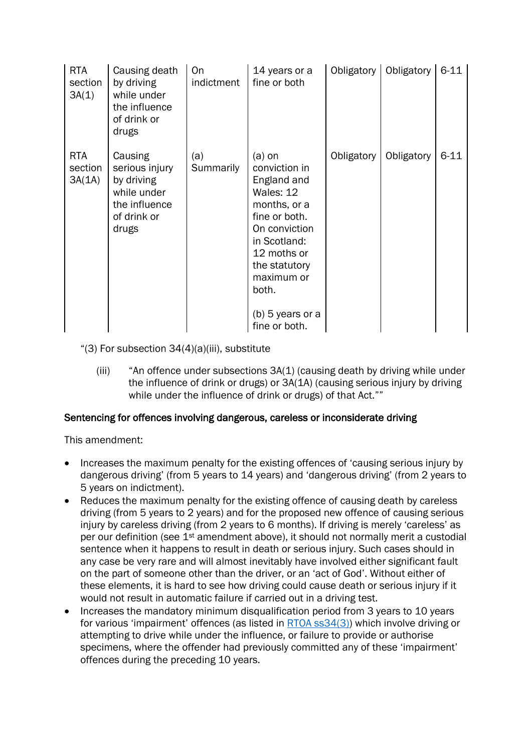| <b>RTA</b><br>section<br>3A(1)  | Causing death<br>by driving<br>while under<br>the influence<br>of drink or<br>drugs             | <b>On</b><br>indictment | 14 years or a<br>fine or both                                                                                                                                                                                       | Obligatory | Obligatory | $6 - 11$ |
|---------------------------------|-------------------------------------------------------------------------------------------------|-------------------------|---------------------------------------------------------------------------------------------------------------------------------------------------------------------------------------------------------------------|------------|------------|----------|
| <b>RTA</b><br>section<br>3A(1A) | Causing<br>serious injury<br>by driving<br>while under<br>the influence<br>of drink or<br>drugs | (a)<br><b>Summarily</b> | $(a)$ on<br>conviction in<br>England and<br>Wales: 12<br>months, or a<br>fine or both.<br>On conviction<br>in Scotland:<br>12 moths or<br>the statutory<br>maximum or<br>both.<br>(b) 5 years or a<br>fine or both. | Obligatory | Obligatory | $6 - 11$ |

" $(3)$  For subsection  $34(4)(a)(iii)$ , substitute

(iii) "An offence under subsections 3A(1) (causing death by driving while under the influence of drink or drugs) or 3A(1A) (causing serious injury by driving while under the influence of drink or drugs) of that Act.""

## Sentencing for offences involving dangerous, careless or inconsiderate driving

This amendment:

- Increases the maximum penalty for the existing offences of 'causing serious injury by dangerous driving' (from 5 years to 14 years) and 'dangerous driving' (from 2 years to 5 years on indictment).
- Reduces the maximum penalty for the existing offence of causing death by careless driving (from 5 years to 2 years) and for the proposed new offence of causing serious injury by careless driving (from 2 years to 6 months). If driving is merely 'careless' as per our definition (see 1st amendment above), it should not normally merit a custodial sentence when it happens to result in death or serious injury. Such cases should in any case be very rare and will almost inevitably have involved either significant fault on the part of someone other than the driver, or an 'act of God'. Without either of these elements, it is hard to see how driving could cause death or serious injury if it would not result in automatic failure if carried out in a driving test.
- Increases the mandatory minimum disqualification period from 3 years to 10 years for various 'impairment' offences (as listed in [RTOA ss34\(3\)\)](https://www.legislation.gov.uk/ukpga/1988/53/section/34) which involve driving or attempting to drive while under the influence, or failure to provide or authorise specimens, where the offender had previously committed any of these 'impairment' offences during the preceding 10 years.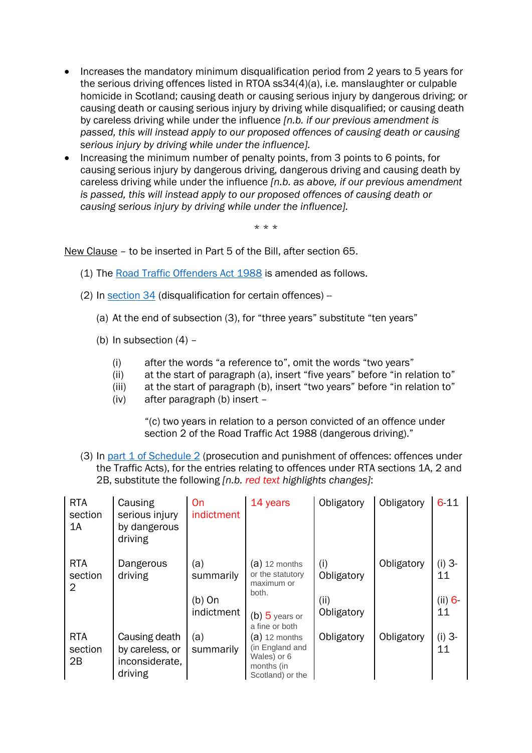- Increases the mandatory minimum disqualification period from 2 years to 5 years for the serious driving offences listed in RTOA ss34(4)(a), i.e. manslaughter or culpable homicide in Scotland; causing death or causing serious injury by dangerous driving; or causing death or causing serious injury by driving while disqualified; or causing death by careless driving while under the influence *[n.b. if our previous amendment is passed, this will instead apply to our proposed offences of causing death or causing serious injury by driving while under the influence].*
- Increasing the minimum number of penalty points, from 3 points to 6 points, for causing serious injury by dangerous driving, dangerous driving and causing death by careless driving while under the influence *[n.b. as above, if our previous amendment is passed, this will instead apply to our proposed offences of causing death or causing serious injury by driving while under the influence].*

\* \* \*

New Clause – to be inserted in Part 5 of the Bill, after section 65.

- (1) The [Road Traffic Offenders Act 1988](https://www.legislation.gov.uk/ukpga/1988/53/schedule/2) is amended as follows.
- (2) In section  $34$  (disqualification for certain offences) -
	- (a) At the end of subsection (3), for "three years" substitute "ten years"
	- (b) In subsection  $(4)$  -
		- (i) after the words "a reference to", omit the words "two years"
		- (ii) at the start of paragraph (a), insert "five years" before "in relation to"
		- (iii) at the start of paragraph (b), insert "two years" before "in relation to"
		- (iv) after paragraph (b) insert –

"(c) two years in relation to a person convicted of an offence under section 2 of the Road Traffic Act 1988 (dangerous driving)."

(3) In [part 1 of Schedule 2](https://www.legislation.gov.uk/ukpga/1988/53/schedule/2) (prosecution and punishment of offences: offences under the Traffic Acts), for the entries relating to offences under RTA sections 1A, 2 and 2B, substitute the following *[n.b. red text highlights changes]*:

| <b>RTA</b><br>section<br>1A | Causing<br>serious injury<br>by dangerous<br>driving          | On<br>indictment                           | 14 years                                                                                         | Obligatory                              | Obligatory | 6 1 1                          |
|-----------------------------|---------------------------------------------------------------|--------------------------------------------|--------------------------------------------------------------------------------------------------|-----------------------------------------|------------|--------------------------------|
| <b>RTA</b><br>section<br>2  | Dangerous<br>driving                                          | (a)<br>summarily<br>$(b)$ On<br>indictment | $(a)$ 12 months<br>or the statutory<br>maximum or<br>both.<br>$(b)$ 5 years or<br>a fine or both | (i)<br>Obligatory<br>(ii)<br>Obligatory | Obligatory | $(i)$ 3-<br>11<br>(ii) 6<br>11 |
| <b>RTA</b><br>section<br>2B | Causing death<br>by careless, or<br>inconsiderate,<br>driving | (a)<br>summarily                           | $(a)$ 12 months<br>(in England and<br>Wales) or 6<br>months (in<br>Scotland) or the              | Obligatory                              | Obligatory | $(i)$ 3-<br>11                 |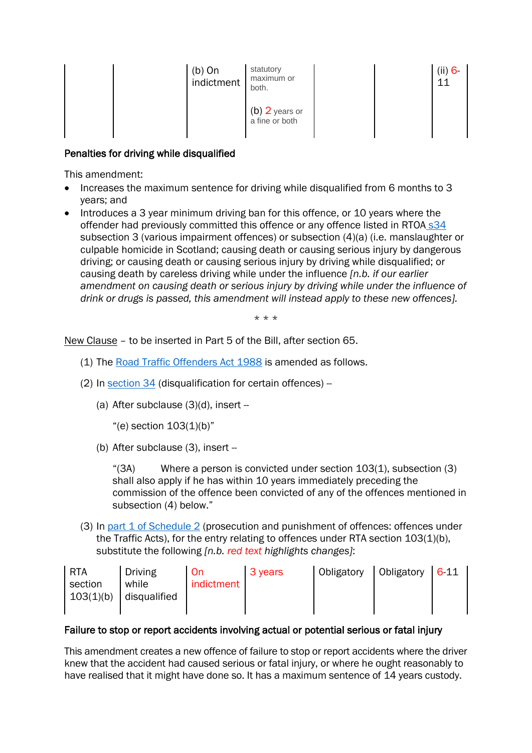| $(b)$ On<br>indictment | statutory<br>maximum or<br>both.   |  | (ii) 6<br>11 |
|------------------------|------------------------------------|--|--------------|
|                        | $(b)$ 2 years or<br>a fine or both |  |              |

## Penalties for driving while disqualified

This amendment:

- Increases the maximum sentence for driving while disqualified from 6 months to 3 years; and
- Introduces a 3 year minimum driving ban for this offence, or 10 years where the offender had previously committed this offence or any offence listed in RTOA [s34](https://www.legislation.gov.uk/ukpga/1988/53/section/34) subsection 3 (various impairment offences) or subsection (4)(a) (i.e. manslaughter or culpable homicide in Scotland; causing death or causing serious injury by dangerous driving; or causing death or causing serious injury by driving while disqualified; or causing death by careless driving while under the influence *[n.b. if our earlier amendment on causing death or serious injury by driving while under the influence of drink or drugs is passed, this amendment will instead apply to these new offences].*

\* \* \*

New Clause – to be inserted in Part 5 of the Bill, after section 65.

- (1) The [Road Traffic Offenders Act 1988](https://www.legislation.gov.uk/ukpga/1988/53/schedule/2) is amended as follows.
- (2) In section  $34$  (disqualification for certain offences) -
	- (a) After subclause  $(3)(d)$ , insert --

"(e) section  $103(1)$ (b)"

(b) After subclause (3), insert --

"(3A) Where a person is convicted under section 103(1), subsection (3) shall also apply if he has within 10 years immediately preceding the commission of the offence been convicted of any of the offences mentioned in subsection (4) below."

(3) In [part 1 of Schedule 2](https://www.legislation.gov.uk/ukpga/1988/53/schedule/2) (prosecution and punishment of offences: offences under the Traffic Acts), for the entry relating to offences under RTA section 103(1)(b), substitute the following *[n.b. red text highlights changes]*:

| l RTA     | Driving      | On         | 3 years | Obligatory | Obligatory | 611 |
|-----------|--------------|------------|---------|------------|------------|-----|
| section   | while        | indictment |         |            |            |     |
| 103(1)(b) | disqualified |            |         |            |            |     |
|           |              |            |         |            |            |     |

### Failure to stop or report accidents involving actual or potential serious or fatal injury

This amendment creates a new offence of failure to stop or report accidents where the driver knew that the accident had caused serious or fatal injury, or where he ought reasonably to have realised that it might have done so. It has a maximum sentence of 14 years custody.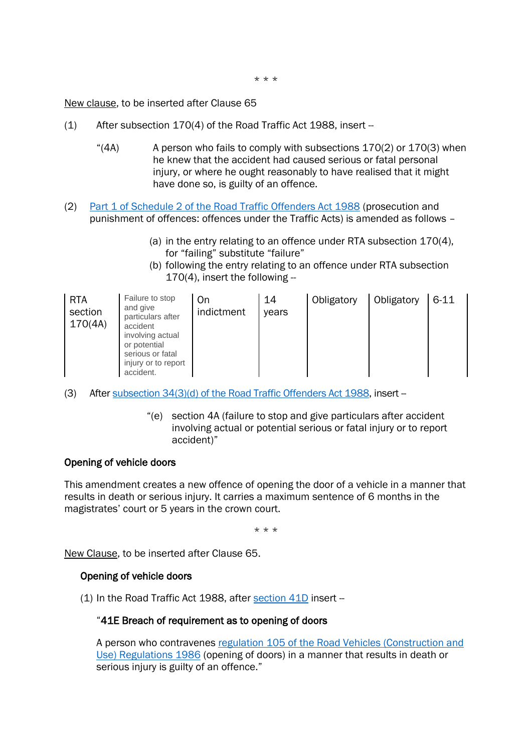\* \* \*

New clause, to be inserted after Clause 65

- (1) After subsection 170(4) of the Road Traffic Act 1988, insert --
	- "(4A) A person who fails to comply with subsections 170(2) or 170(3) when he knew that the accident had caused serious or fatal personal injury, or where he ought reasonably to have realised that it might have done so, is guilty of an offence.
- (2) [Part 1 of Schedule 2 of the Road Traffic Offenders Act 1988](https://www.legislation.gov.uk/ukpga/1988/53/schedule/2) (prosecution and punishment of offences: offences under the Traffic Acts) is amended as follows –
	- (a) in the entry relating to an offence under RTA subsection 170(4), for "failing" substitute "failure"
	- (b) following the entry relating to an offence under RTA subsection  $170(4)$ , insert the following --

| Failure to stop<br><b>RTA</b><br>and give<br>section<br>170(4A)<br>accident<br>or potential<br>serious or fatal<br>accident. | On<br>indictment<br>particulars after<br>involving actual<br>injury or to report | 14<br>vears | Obligatory | Obligatory | $6 - 11$ |
|------------------------------------------------------------------------------------------------------------------------------|----------------------------------------------------------------------------------|-------------|------------|------------|----------|
|------------------------------------------------------------------------------------------------------------------------------|----------------------------------------------------------------------------------|-------------|------------|------------|----------|

- (3) After subsection 34(3)(d) [of the Road Traffic Offenders Act 1988,](https://www.legislation.gov.uk/ukpga/1988/53/section/34) insert --
	- "(e) section 4A (failure to stop and give particulars after accident involving actual or potential serious or fatal injury or to report accident)"

### Opening of vehicle doors

This amendment creates a new offence of opening the door of a vehicle in a manner that results in death or serious injury. It carries a maximum sentence of 6 months in the magistrates' court or 5 years in the crown court.

\* \* \*

New Clause, to be inserted after Clause 65.

#### Opening of vehicle doors

(1) In the Road Traffic Act 1988, after [section 41D](https://www.legislation.gov.uk/ukpga/1988/52/part/II/crossheading/general-regulation-of-construction-use-etc) insert --

#### "41E Breach of requirement as to opening of doors

A person who contravenes [regulation 105 of the Road Vehicles \(Construction and](https://www.legislation.gov.uk/uksi/1986/1078/regulation/105/made)  [Use\) Regulations 1986](https://www.legislation.gov.uk/uksi/1986/1078/regulation/105/made) (opening of doors) in a manner that results in death or serious injury is guilty of an offence."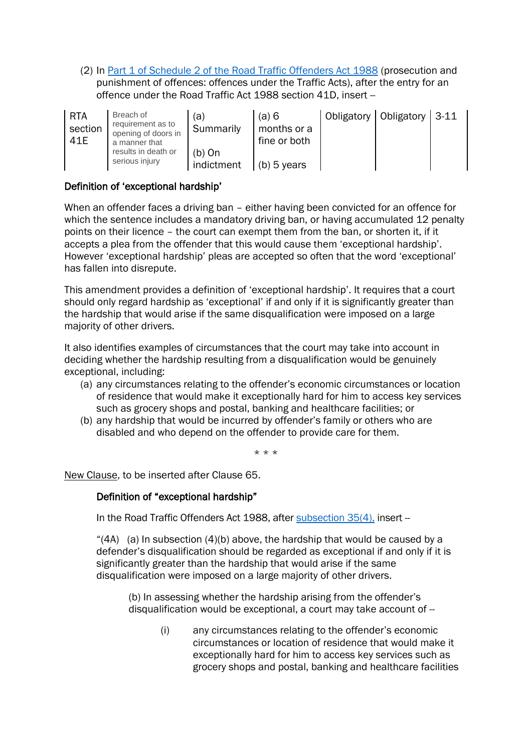(2) In [Part 1 of Schedule 2 of the Road Traffic Offenders Act 1988](https://www.legislation.gov.uk/ukpga/1988/53/schedule/2) (prosecution and punishment of offences: offences under the Traffic Acts), after the entry for an offence under the Road Traffic Act 1988 section 41D, insert --

| <b>RTA</b><br>section<br>41E | Breach of<br>requirement as to<br>opening of doors in<br>a manner that | (a)<br>Summarily       | (a) 6<br>months or a<br>fine or both | Obligatory   Obligatory   3-11 |  |
|------------------------------|------------------------------------------------------------------------|------------------------|--------------------------------------|--------------------------------|--|
|                              | results in death or<br>serious injury                                  | $(b)$ On<br>indictment | $(b)$ 5 years                        |                                |  |

## Definition of 'exceptional hardship'

When an offender faces a driving ban – either having been convicted for an offence for which the sentence includes a mandatory driving ban, or having accumulated 12 penalty points on their licence – the court can exempt them from the ban, or shorten it, if it accepts a plea from the offender that this would cause them 'exceptional hardship'. However 'exceptional hardship' pleas are accepted so often that the word 'exceptional' has fallen into disrepute.

This amendment provides a definition of 'exceptional hardship'. It requires that a court should only regard hardship as 'exceptional' if and only if it is significantly greater than the hardship that would arise if the same disqualification were imposed on a large majority of other drivers.

It also identifies examples of circumstances that the court may take into account in deciding whether the hardship resulting from a disqualification would be genuinely exceptional, including:

- (a) any circumstances relating to the offender's economic circumstances or location of residence that would make it exceptionally hard for him to access key services such as grocery shops and postal, banking and healthcare facilities; or
- (b) any hardship that would be incurred by offender's family or others who are disabled and who depend on the offender to provide care for them.

\* \* \*

New Clause, to be inserted after Clause 65.

### Definition of "exceptional hardship"

In the Road Traffic Offenders Act 1988, after [subsection 35\(4\),](https://www.legislation.gov.uk/ukpga/1988/53/section/35) insert --

"(4A) (a) In subsection (4)(b) above, the hardship that would be caused by a defender's disqualification should be regarded as exceptional if and only if it is significantly greater than the hardship that would arise if the same disqualification were imposed on a large majority of other drivers.

(b) In assessing whether the hardship arising from the offender's disqualification would be exceptional, a court may take account of --

> (i) any circumstances relating to the offender's economic circumstances or location of residence that would make it exceptionally hard for him to access key services such as grocery shops and postal, banking and healthcare facilities